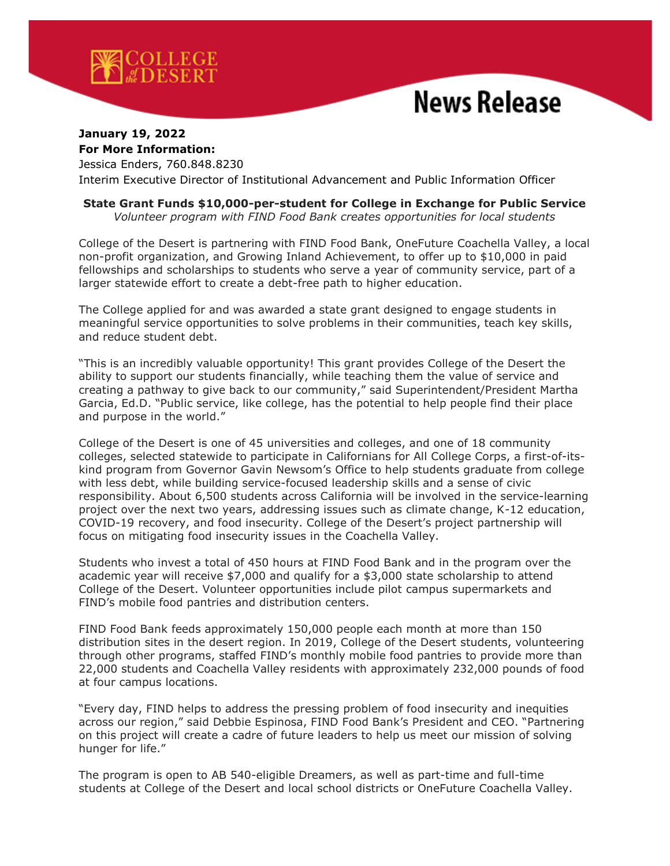

## **News Release**

## **January 19, 2022 For More Information:**

Jessica Enders, 760.848.8230

Interim Executive Director of Institutional Advancement and Public Information Officer

## **State Grant Funds \$10,000-per-student for College in Exchange for Public Service**

*Volunteer program with FIND Food Bank creates opportunities for local students*

College of the Desert is partnering with FIND Food Bank, OneFuture Coachella Valley, a local non-profit organization, and Growing Inland Achievement, to offer up to \$10,000 in paid fellowships and scholarships to students who serve a year of community service, part of a larger statewide effort to create a debt-free path to higher education.

The College applied for and was awarded a state grant designed to engage students in meaningful service opportunities to solve problems in their communities, teach key skills, and reduce student debt.

"This is an incredibly valuable opportunity! This grant provides College of the Desert the ability to support our students financially, while teaching them the value of service and creating a pathway to give back to our community," said Superintendent/President Martha Garcia, Ed.D. "Public service, like college, has the potential to help people find their place and purpose in the world."

College of the Desert is one of 45 universities and colleges, and one of 18 community colleges, selected statewide to participate in Californians for All College Corps, a first-of-itskind program from Governor Gavin Newsom's Office to help students graduate from college with less debt, while building service-focused leadership skills and a sense of civic responsibility. About 6,500 students across California will be involved in the service-learning project over the next two years, addressing issues such as climate change, K-12 education, COVID-19 recovery, and food insecurity. College of the Desert's project partnership will focus on mitigating food insecurity issues in the Coachella Valley.

Students who invest a total of 450 hours at FIND Food Bank and in the program over the academic year will receive \$7,000 and qualify for a \$3,000 state scholarship to attend College of the Desert. Volunteer opportunities include pilot campus supermarkets and FIND's mobile food pantries and distribution centers.

FIND Food Bank feeds approximately 150,000 people each month at more than 150 distribution sites in the desert region. In 2019, College of the Desert students, volunteering through other programs, staffed FIND's monthly mobile food pantries to provide more than 22,000 students and Coachella Valley residents with approximately 232,000 pounds of food at four campus locations.

"Every day, FIND helps to address the pressing problem of food insecurity and inequities across our region," said Debbie Espinosa, FIND Food Bank's President and CEO. "Partnering on this project will create a cadre of future leaders to help us meet our mission of solving hunger for life."

The program is open to AB 540-eligible Dreamers, as well as part-time and full-time students at College of the Desert and local school districts or OneFuture Coachella Valley.